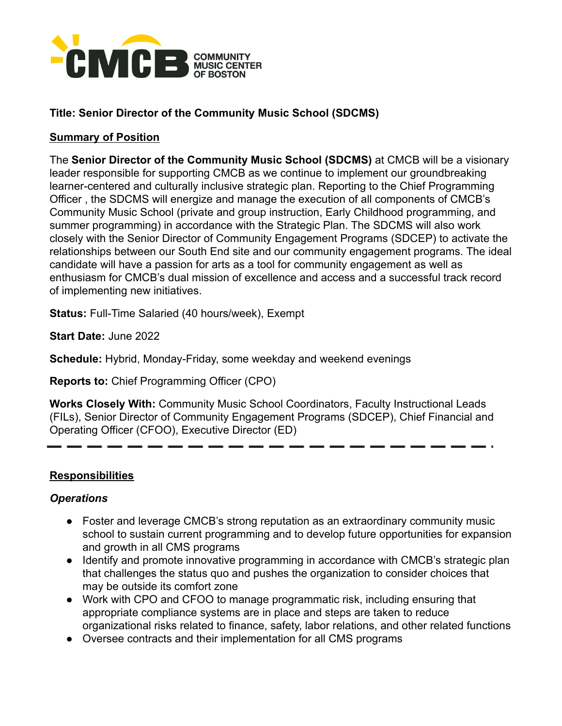

# **Title: Senior Director of the Community Music School (SDCMS)**

#### **Summary of Position**

The **Senior Director of the Community Music School (SDCMS)** at CMCB will be a visionary leader responsible for supporting CMCB as we continue to implement our groundbreaking learner-centered and culturally inclusive strategic plan. Reporting to the Chief Programming Officer , the SDCMS will energize and manage the execution of all components of CMCB's Community Music School (private and group instruction, Early Childhood programming, and summer programming) in accordance with the Strategic Plan. The SDCMS will also work closely with the Senior Director of Community Engagement Programs (SDCEP) to activate the relationships between our South End site and our community engagement programs. The ideal candidate will have a passion for arts as a tool for community engagement as well as enthusiasm for CMCB's dual mission of excellence and access and a successful track record of implementing new initiatives.

**Status:** Full-Time Salaried (40 hours/week), Exempt

**Start Date:** June 2022

**Schedule:** Hybrid, Monday-Friday, some weekday and weekend evenings

**Reports to:** Chief Programming Officer (CPO)

**Works Closely With:** Community Music School Coordinators, Faculty Instructional Leads (FILs), Senior Director of Community Engagement Programs (SDCEP), Chief Financial and Operating Officer (CFOO), Executive Director (ED)

#### **Responsibilities**

## *Operations*

- Foster and leverage CMCB's strong reputation as an extraordinary community music school to sustain current programming and to develop future opportunities for expansion and growth in all CMS programs
- Identify and promote innovative programming in accordance with CMCB's strategic plan that challenges the status quo and pushes the organization to consider choices that may be outside its comfort zone
- Work with CPO and CFOO to manage programmatic risk, including ensuring that appropriate compliance systems are in place and steps are taken to reduce organizational risks related to finance, safety, labor relations, and other related functions
- Oversee contracts and their implementation for all CMS programs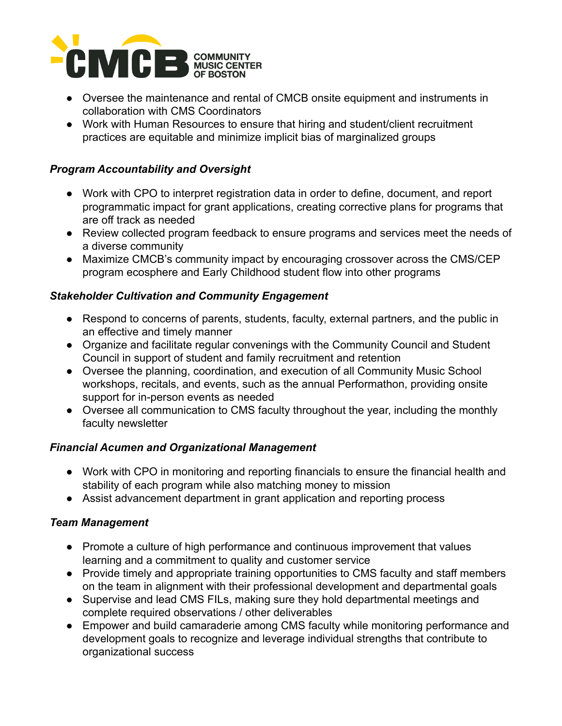

- Oversee the maintenance and rental of CMCB onsite equipment and instruments in collaboration with CMS Coordinators
- Work with Human Resources to ensure that hiring and student/client recruitment practices are equitable and minimize implicit bias of marginalized groups

## *Program Accountability and Oversight*

- Work with CPO to interpret registration data in order to define, document, and report programmatic impact for grant applications, creating corrective plans for programs that are off track as needed
- Review collected program feedback to ensure programs and services meet the needs of a diverse community
- Maximize CMCB's community impact by encouraging crossover across the CMS/CEP program ecosphere and Early Childhood student flow into other programs

#### *Stakeholder Cultivation and Community Engagement*

- Respond to concerns of parents, students, faculty, external partners, and the public in an effective and timely manner
- Organize and facilitate regular convenings with the Community Council and Student Council in support of student and family recruitment and retention
- Oversee the planning, coordination, and execution of all Community Music School workshops, recitals, and events, such as the annual Performathon, providing onsite support for in-person events as needed
- Oversee all communication to CMS faculty throughout the year, including the monthly faculty newsletter

#### *Financial Acumen and Organizational Management*

- Work with CPO in monitoring and reporting financials to ensure the financial health and stability of each program while also matching money to mission
- Assist advancement department in grant application and reporting process

#### *Team Management*

- Promote a culture of high performance and continuous improvement that values learning and a commitment to quality and customer service
- Provide timely and appropriate training opportunities to CMS faculty and staff members on the team in alignment with their professional development and departmental goals
- Supervise and lead CMS FILs, making sure they hold departmental meetings and complete required observations / other deliverables
- *●* Empower and build camaraderie among CMS faculty while monitoring performance and development goals to recognize and leverage individual strengths that contribute to organizational success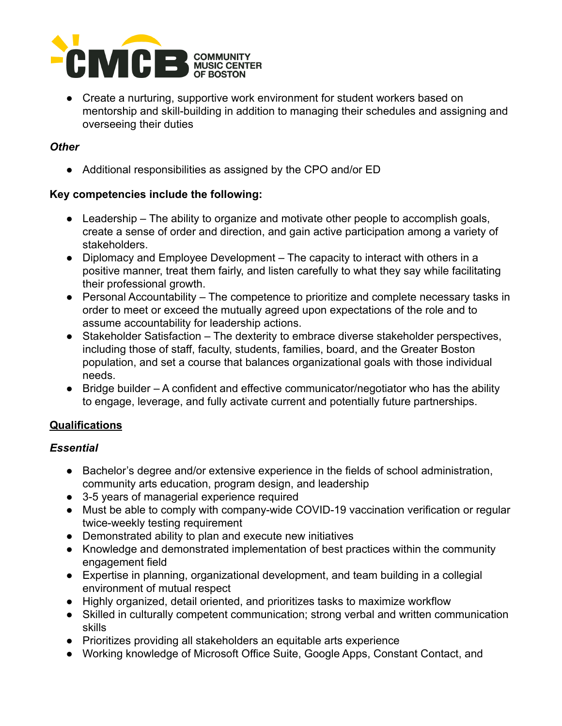

● Create a nurturing, supportive work environment for student workers based on mentorship and skill-building in addition to managing their schedules and assigning and overseeing their duties

#### *Other*

● Additional responsibilities as assigned by the CPO and/or ED

## **Key competencies include the following:**

- $\bullet$  Leadership The ability to organize and motivate other people to accomplish goals, create a sense of order and direction, and gain active participation among a variety of stakeholders.
- Diplomacy and Employee Development The capacity to interact with others in a positive manner, treat them fairly, and listen carefully to what they say while facilitating their professional growth.
- Personal Accountability The competence to prioritize and complete necessary tasks in order to meet or exceed the mutually agreed upon expectations of the role and to assume accountability for leadership actions.
- Stakeholder Satisfaction The dexterity to embrace diverse stakeholder perspectives, including those of staff, faculty, students, families, board, and the Greater Boston population, and set a course that balances organizational goals with those individual needs.
- Bridge builder A confident and effective communicator/negotiator who has the ability to engage, leverage, and fully activate current and potentially future partnerships.

## **Qualifications**

## *Essential*

- Bachelor's degree and/or extensive experience in the fields of school administration, community arts education, program design, and leadership
- 3-5 years of managerial experience required
- Must be able to comply with company-wide COVID-19 vaccination verification or regular twice-weekly testing requirement
- Demonstrated ability to plan and execute new initiatives
- Knowledge and demonstrated implementation of best practices within the community engagement field
- Expertise in planning, organizational development, and team building in a collegial environment of mutual respect
- Highly organized, detail oriented, and prioritizes tasks to maximize workflow
- Skilled in culturally competent communication; strong verbal and written communication skills
- Prioritizes providing all stakeholders an equitable arts experience
- Working knowledge of Microsoft Office Suite, Google Apps, Constant Contact, and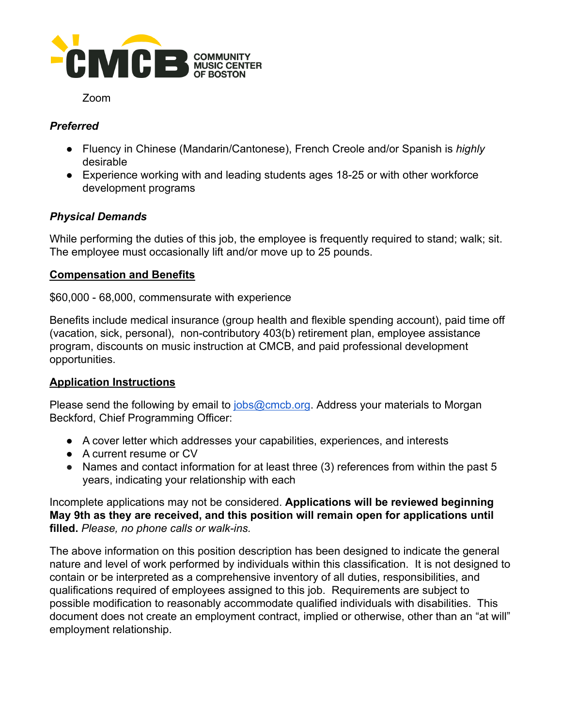

#### Zoom

# *Preferred*

- Fluency in Chinese (Mandarin/Cantonese), French Creole and/or Spanish is *highly* desirable
- *●* Experience working with and leading students ages 18-25 or with other workforce development programs

## *Physical Demands*

While performing the duties of this job, the employee is frequently required to stand; walk; sit. The employee must occasionally lift and/or move up to 25 pounds.

#### **Compensation and Benefits**

#### \$60,000 - 68,000, commensurate with experience

Benefits include medical insurance (group health and flexible spending account), paid time off (vacation, sick, personal), non-contributory 403(b) retirement plan, employee assistance program, discounts on music instruction at CMCB, and paid professional development opportunities.

## **Application Instructions**

Please send the following by email to [jobs@cmcb.org](mailto:jobs@cmcb.org). Address your materials to Morgan Beckford, Chief Programming Officer:

- A cover letter which addresses your capabilities, experiences, and interests
- A current resume or CV
- Names and contact information for at least three (3) references from within the past 5 years, indicating your relationship with each

Incomplete applications may not be considered. **Applications will be reviewed beginning May 9th as they are received, and this position will remain open for applications until filled.** *Please, no phone calls or walk-ins.*

The above information on this position description has been designed to indicate the general nature and level of work performed by individuals within this classification. It is not designed to contain or be interpreted as a comprehensive inventory of all duties, responsibilities, and qualifications required of employees assigned to this job. Requirements are subject to possible modification to reasonably accommodate qualified individuals with disabilities. This document does not create an employment contract, implied or otherwise, other than an "at will" employment relationship.